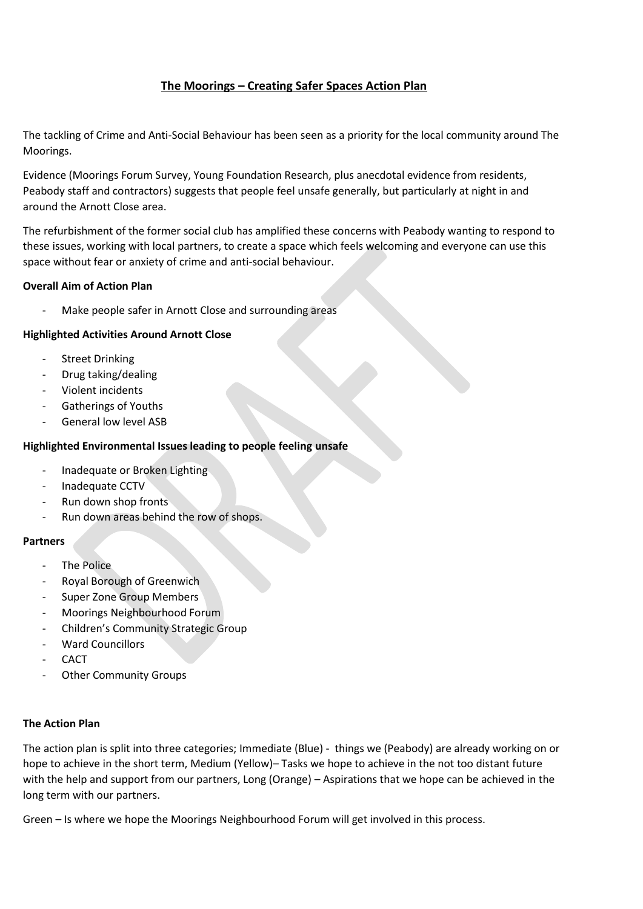# **The Moorings – Creating Safer Spaces Action Plan**

The tackling of Crime and Anti-Social Behaviour has been seen as a priority for the local community around The Moorings.

Evidence (Moorings Forum Survey, Young Foundation Research, plus anecdotal evidence from residents, Peabody staff and contractors) suggests that people feel unsafe generally, but particularly at night in and around the Arnott Close area.

The refurbishment of the former social club has amplified these concerns with Peabody wanting to respond to these issues, working with local partners, to create a space which feels welcoming and everyone can use this space without fear or anxiety of crime and anti-social behaviour.

## **Overall Aim of Action Plan**

Make people safer in Arnott Close and surrounding areas

## **Highlighted Activities Around Arnott Close**

- **Street Drinking**
- Drug taking/dealing
- Violent incidents
- Gatherings of Youths
- General low level ASB

#### **Highlighted Environmental Issues leading to people feeling unsafe**

- Inadequate or Broken Lighting
- Inadequate CCTV
- Run down shop fronts
- Run down areas behind the row of shops.

#### **Partners**

- The Police
- Royal Borough of Greenwich
- Super Zone Group Members
- Moorings Neighbourhood Forum
- Children's Community Strategic Group
- Ward Councillors
- **CACT**
- Other Community Groups

#### **The Action Plan**

The action plan is split into three categories; Immediate (Blue) - things we (Peabody) are already working on or hope to achieve in the short term, Medium (Yellow)– Tasks we hope to achieve in the not too distant future with the help and support from our partners, Long (Orange) – Aspirations that we hope can be achieved in the long term with our partners.

Green – Is where we hope the Moorings Neighbourhood Forum will get involved in this process.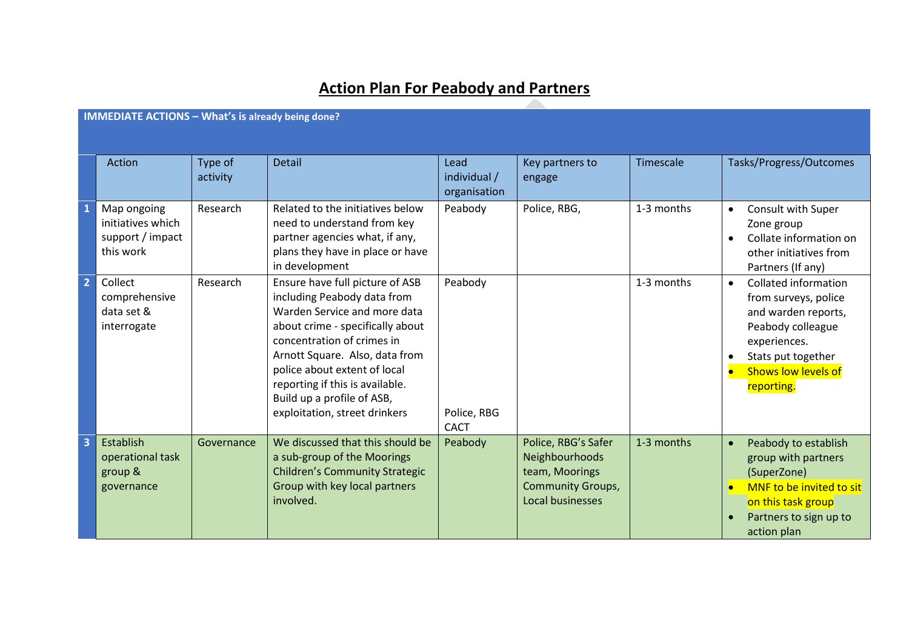# **Action Plan For Peabody and Partners**

|                | <b>IMMEDIATE ACTIONS - What's is already being done?</b>          |                     |                                                                                                                                                                                                                                                                                                                                      |                                       |                                                                                                         |            |                                                                                                                                                                                                |  |
|----------------|-------------------------------------------------------------------|---------------------|--------------------------------------------------------------------------------------------------------------------------------------------------------------------------------------------------------------------------------------------------------------------------------------------------------------------------------------|---------------------------------------|---------------------------------------------------------------------------------------------------------|------------|------------------------------------------------------------------------------------------------------------------------------------------------------------------------------------------------|--|
|                | Action                                                            | Type of<br>activity | <b>Detail</b>                                                                                                                                                                                                                                                                                                                        | Lead<br>individual /<br>organisation  | Key partners to<br>engage                                                                               | Timescale  | Tasks/Progress/Outcomes                                                                                                                                                                        |  |
| $\mathbf{1}$   | Map ongoing<br>initiatives which<br>support / impact<br>this work | Research            | Related to the initiatives below<br>need to understand from key<br>partner agencies what, if any,<br>plans they have in place or have<br>in development                                                                                                                                                                              | Peabody                               | Police, RBG,                                                                                            | 1-3 months | Consult with Super<br>$\bullet$<br>Zone group<br>Collate information on<br>$\bullet$<br>other initiatives from<br>Partners (If any)                                                            |  |
| $\overline{2}$ | Collect<br>comprehensive<br>data set &<br>interrogate             | Research            | Ensure have full picture of ASB<br>including Peabody data from<br>Warden Service and more data<br>about crime - specifically about<br>concentration of crimes in<br>Arnott Square. Also, data from<br>police about extent of local<br>reporting if this is available.<br>Build up a profile of ASB,<br>exploitation, street drinkers | Peabody<br>Police, RBG<br><b>CACT</b> |                                                                                                         | 1-3 months | <b>Collated information</b><br>$\bullet$<br>from surveys, police<br>and warden reports,<br>Peabody colleague<br>experiences.<br>Stats put together<br><b>Shows low levels of</b><br>reporting. |  |
| В              | Establish<br>operational task<br>group &<br>governance            | Governance          | We discussed that this should be<br>a sub-group of the Moorings<br><b>Children's Community Strategic</b><br>Group with key local partners<br>involved.                                                                                                                                                                               | Peabody                               | Police, RBG's Safer<br>Neighbourhoods<br>team, Moorings<br><b>Community Groups,</b><br>Local businesses | 1-3 months | Peabody to establish<br>$\bullet$<br>group with partners<br>(SuperZone)<br>MNF to be invited to sit<br>on this task group<br>Partners to sign up to<br>action plan                             |  |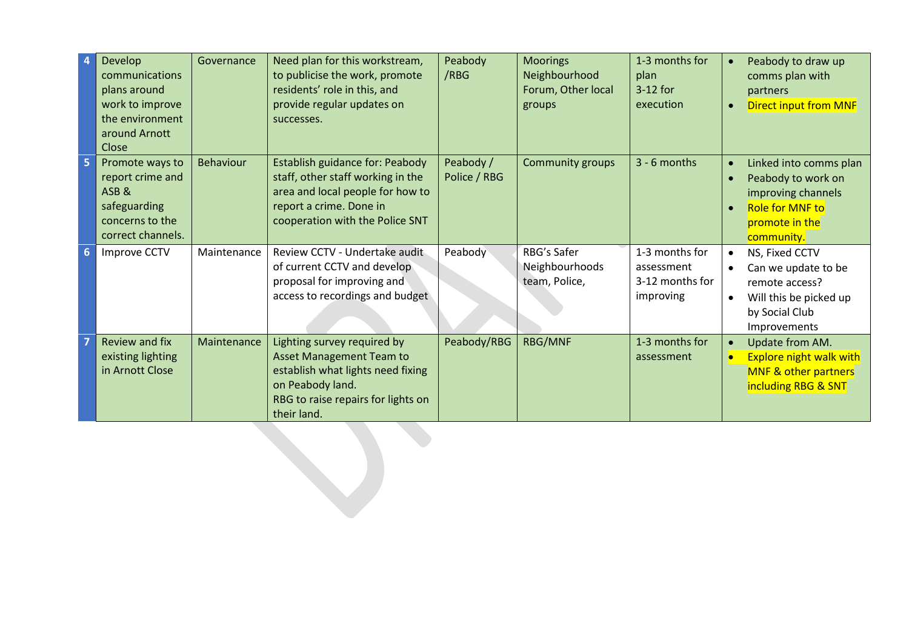|                | Develop<br>communications<br>plans around<br>work to improve<br>the environment<br>around Arnott<br>Close | Governance  | Need plan for this workstream,<br>to publicise the work, promote<br>residents' role in this, and<br>provide regular updates on<br>successes.                                 | Peabody<br>/RBG           | <b>Moorings</b><br>Neighbourhood<br>Forum, Other local<br>groups | 1-3 months for<br>plan<br>3-12 for<br>execution              | Peabody to draw up<br>$\bullet$<br>comms plan with<br>partners<br><b>Direct input from MNF</b><br>$\bullet$                                                         |  |
|----------------|-----------------------------------------------------------------------------------------------------------|-------------|------------------------------------------------------------------------------------------------------------------------------------------------------------------------------|---------------------------|------------------------------------------------------------------|--------------------------------------------------------------|---------------------------------------------------------------------------------------------------------------------------------------------------------------------|--|
| 5              | Promote ways to<br>report crime and<br>ASB&<br>safeguarding<br>concerns to the<br>correct channels.       | Behaviour   | Establish guidance for: Peabody<br>staff, other staff working in the<br>area and local people for how to<br>report a crime. Done in<br>cooperation with the Police SNT       | Peabody /<br>Police / RBG | <b>Community groups</b>                                          | 3 - 6 months                                                 | Linked into comms plan<br>$\bullet$<br>Peabody to work on<br>$\bullet$<br>improving channels<br><b>Role for MNF to</b><br>$\bullet$<br>promote in the<br>community. |  |
| $6\phantom{1}$ | Improve CCTV                                                                                              | Maintenance | Review CCTV - Undertake audit<br>of current CCTV and develop<br>proposal for improving and<br>access to recordings and budget                                                | Peabody                   | RBG's Safer<br>Neighbourhoods<br>team, Police,                   | 1-3 months for<br>assessment<br>3-12 months for<br>improving | NS, Fixed CCTV<br>$\bullet$<br>Can we update to be<br>remote access?<br>Will this be picked up<br>$\bullet$<br>by Social Club<br>Improvements                       |  |
|                | <b>Review and fix</b><br>existing lighting<br>in Arnott Close                                             | Maintenance | Lighting survey required by<br><b>Asset Management Team to</b><br>establish what lights need fixing<br>on Peabody land.<br>RBG to raise repairs for lights on<br>their land. | Peabody/RBG               | <b>RBG/MNF</b>                                                   | 1-3 months for<br>assessment                                 | Update from AM.<br>$\bullet$<br><b>Explore night walk with</b><br><b>MNF &amp; other partners</b><br>including RBG & SNT                                            |  |
|                |                                                                                                           |             |                                                                                                                                                                              |                           |                                                                  |                                                              |                                                                                                                                                                     |  |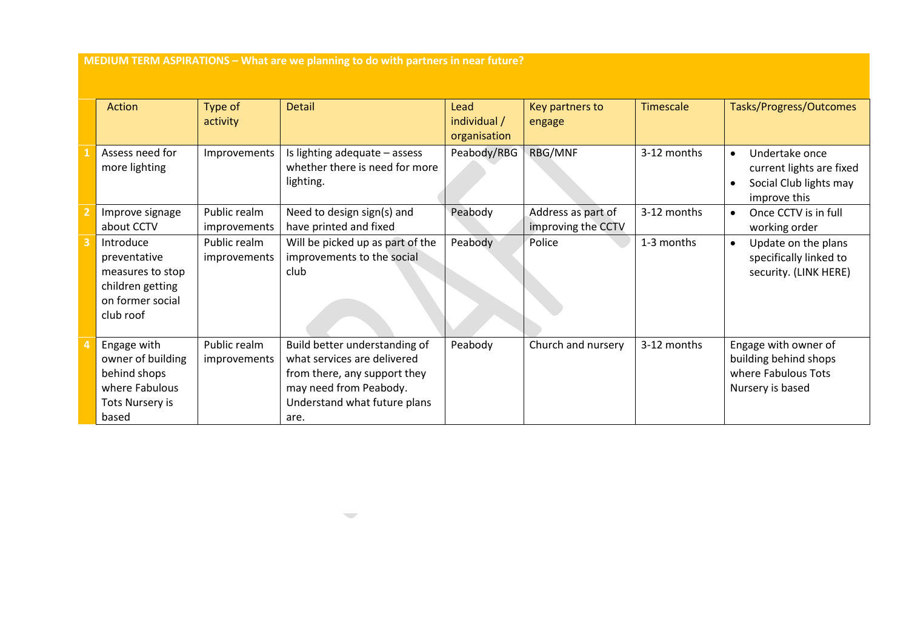**MEDIUM TERM ASPIRATIONS – What are we planning to do with partners in near future?**

| Action                                                                                             | Type of                      | <b>Detail</b>                                                                                                                                                  | Lead         | Key partners to    | Timescale   | Tasks/Progress/Outcomes                                                                                        |
|----------------------------------------------------------------------------------------------------|------------------------------|----------------------------------------------------------------------------------------------------------------------------------------------------------------|--------------|--------------------|-------------|----------------------------------------------------------------------------------------------------------------|
|                                                                                                    | activity                     |                                                                                                                                                                | individual / | engage             |             |                                                                                                                |
|                                                                                                    |                              |                                                                                                                                                                | organisation |                    |             |                                                                                                                |
| Assess need for<br>more lighting                                                                   | Improvements                 | Is lighting adequate - assess<br>whether there is need for more<br>lighting.                                                                                   | Peabody/RBG  | RBG/MNF            | 3-12 months | Undertake once<br>$\bullet$<br>current lights are fixed<br>Social Club lights may<br>$\bullet$<br>improve this |
| Improve signage                                                                                    | Public realm                 | Need to design sign(s) and                                                                                                                                     | Peabody      | Address as part of | 3-12 months | Once CCTV is in full                                                                                           |
| about CCTV                                                                                         | improvements                 | have printed and fixed                                                                                                                                         |              | improving the CCTV |             | working order                                                                                                  |
| Introduce<br>preventative<br>measures to stop<br>children getting<br>on former social<br>club roof | Public realm<br>improvements | Will be picked up as part of the<br>improvements to the social<br>club                                                                                         | Peabody      | Police             | 1-3 months  | Update on the plans<br>$\bullet$<br>specifically linked to<br>security. (LINK HERE)                            |
| Engage with<br>owner of building<br>behind shops<br>where Fabulous<br>Tots Nursery is<br>based     | Public realm<br>improvements | Build better understanding of<br>what services are delivered<br>from there, any support they<br>may need from Peabody.<br>Understand what future plans<br>are. | Peabody      | Church and nursery | 3-12 months | Engage with owner of<br>building behind shops<br>where Fabulous Tots<br>Nursery is based                       |

 $\overline{\phantom{m}}$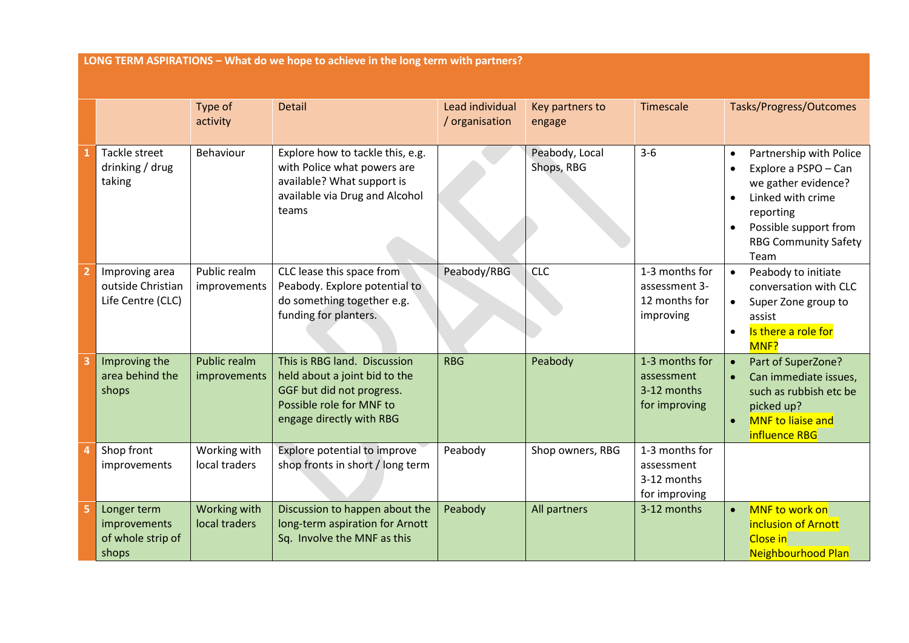**LONG TERM ASPIRATIONS – What do we hope to achieve in the long term with partners?** Type of activity Detail Lead individual / organisation Key partners to engage Timescale Tasks/Progress/Outcomes **1** Tackle street drinking / drug taking Behaviour  $\vert$  Explore how to tackle this, e.g. with Police what powers are available? What support is available via Drug and Alcohol teams Peabody, Local Shops, RBG 3-6 • Partnership with Police • Explore a PSPO – Can we gather evidence? • Linked with crime reporting • Possible support from RBG Community Safety Team **2** Improving area outside Christian Life Centre (CLC) Public realm improvements CLC lease this space from Peabody. Explore potential to do something together e.g. funding for planters. Peabody/RBG CLC 1-3 months for assessment 3- 12 months for improving • Peabody to initiate conversation with CLC • Super Zone group to assist • Is there a role for M<sub>NF?</sub> **3** Improving the area behind the shops Public realm improvements This is RBG land. Discussion held about a joint bid to the GGF but did not progress. Possible role for MNF to engage directly with RBG RBG Peabody 1-3 months for assessment 3-12 months for improving • Part of SuperZone? • Can immediate issues, such as rubbish etc be picked up? • MNF to liaise and influence RBG **4** Shop front improvements Working with local traders Explore potential to improve shop fronts in short / long term Peabody Shop owners, RBG 1-3 months for assessment 3-12 months for improving **5** Longer term improvements Working with local traders Discussion to happen about the long-term aspiration for Arnott Peabody  $\vert$  All partners  $\vert$  3-12 months  $\vert \cdot \vert$  MNF to work on inclusion of Arnott

Close in

Neighbourhood Plan

Sq. Involve the MNF as this

of whole strip of

shops